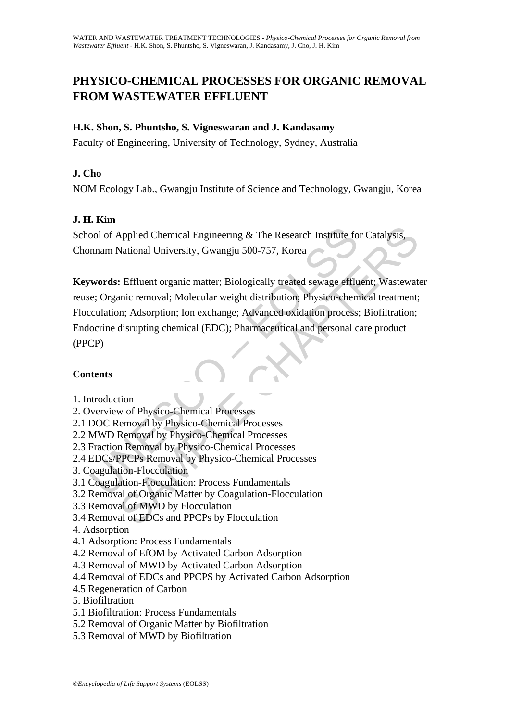# **PHYSICO-CHEMICAL PROCESSES FOR ORGANIC REMOVAL FROM WASTEWATER EFFLUENT**

# **H.K. Shon, S. Phuntsho, S. Vigneswaran and J. Kandasamy**

Faculty of Engineering, University of Technology, Sydney, Australia

# **J. Cho**

NOM Ecology Lab., Gwangju Institute of Science and Technology, Gwangju, Korea

# **J. H. Kim**

School of Applied Chemical Engineering & The Research Institute for Catalysis, Chonnam National University, Gwangju 500-757, Korea

ool of Applied Chemical Engineering & The Research Institute fo<br>
nnam National University, Gwangju 500-757, Korea<br> **words:** Effluent organic matter; Biologically treated sewage efflu<br>
e; Organic removal; Molecular weight d Applied Chemical Engineering & The Research Institute for Catalysis,<br>
National University, Gwangju 500-757, Korea<br>
1998 Effluent organic matter; Biologically treated sewage effluent; Wastewat<br>
2011 Effluent cremoval; Molec **Keywords:** Effluent organic matter; Biologically treated sewage effluent; Wastewater reuse; Organic removal; Molecular weight distribution; Physico-chemical treatment; Flocculation; Adsorption; Ion exchange; Advanced oxidation process; Biofiltration; Endocrine disrupting chemical (EDC); Pharmaceutical and personal care product (PPCP)

### **Contents**

1. Introduction

### 2. Overview of Physico-Chemical Processes

- 2.1 DOC Removal by Physico-Chemical Processes
- 2.2 MWD Removal by Physico-Chemical Processes
- 2.3 Fraction Removal by Physico-Chemical Processes
- 2.4 EDCs/PPCPs Removal by Physico-Chemical Processes
- 3. Coagulation-Flocculation
- 3.1 Coagulation-Flocculation: Process Fundamentals
- 3.2 Removal of Organic Matter by Coagulation-Flocculation
- 3.3 Removal of MWD by Flocculation
- 3.4 Removal of EDCs and PPCPs by Flocculation
- 4. Adsorption
- 4.1 Adsorption: Process Fundamentals
- 4.2 Removal of EfOM by Activated Carbon Adsorption
- 4.3 Removal of MWD by Activated Carbon Adsorption
- 4.4 Removal of EDCs and PPCPS by Activated Carbon Adsorption
- 4.5 Regeneration of Carbon
- 5. Biofiltration
- 5.1 Biofiltration: Process Fundamentals
- 5.2 Removal of Organic Matter by Biofiltration
- 5.3 Removal of MWD by Biofiltration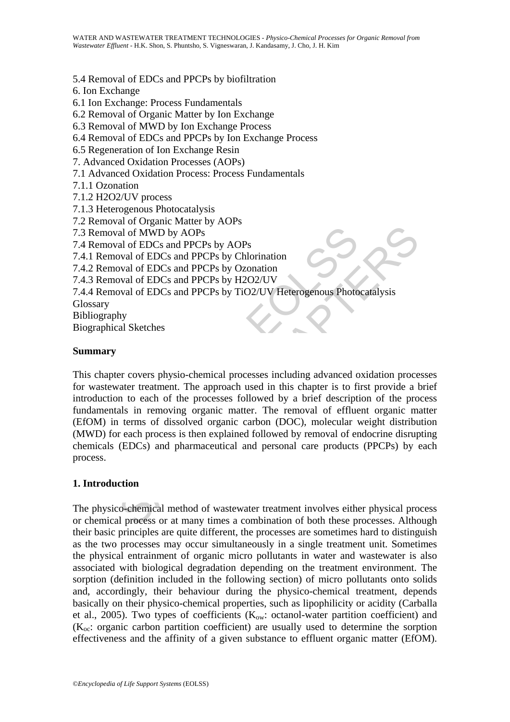#### 5.4 Removal of EDCs and PPCPs by biofiltration

6. Ion Exchange

- 6.1 Ion Exchange: Process Fundamentals
- 6.2 Removal of Organic Matter by Ion Exchange
- 6.3 Removal of MWD by Ion Exchange Process
- 6.4 Removal of EDCs and PPCPs by Ion Exchange Process
- 6.5 Regeneration of Ion Exchange Resin
- 7. Advanced Oxidation Processes (AOPs)
- 7.1 Advanced Oxidation Process: Process Fundamentals
- 7.1.1 Ozonation
- 7.1.2 H2O2/UV process
- 7.1.3 Heterogenous Photocatalysis
- 7.2 Removal of Organic Matter by AOPs
- 7.3 Removal of MWD by AOPs

7.4 Removal of EDCs and PPCPs by AOPs

7.4.1 Removal of EDCs and PPCPs by Chlorination

7.4.2 Removal of EDCs and PPCPs by Ozonation

7.4.3 Removal of EDCs and PPCPs by H2O2/UV

7.4.4 Removal of EDCs and PPCPs by TiO2/UV Heterogenous Photocatalysis

Glossary

Bibliography

Biographical Sketches

#### **Summary**

Removal of MWD by AOPs<br>
Removal of EDCs and PPCPs by AOPs<br>
1 Removal of EDCs and PPCPs by Chorination<br>
2 Removal of EDCs and PPCPs by Chorination<br>
3 Removal of EDCs and PPCPs by H2O2/UV<br>
4 Removal of EDCs and PPCPs by H2O2 al of MWD by AOPs<br>al of EDCs and PPCPs by AOPs<br>wal of EDCs and PPCPs by Chorination<br>wal of EDCs and PPCPs by Chorination<br>wal of EDCs and PPCPs by Conation<br>wal of EDCs and PPCPs by TiO2/UV<br>wal of EDCs and PPCPs by TiO2/UV<br>H This chapter covers physio-chemical processes including advanced oxidation processes for wastewater treatment. The approach used in this chapter is to first provide a brief introduction to each of the processes followed by a brief description of the process fundamentals in removing organic matter. The removal of effluent organic matter (EfOM) in terms of dissolved organic carbon (DOC), molecular weight distribution (MWD) for each process is then explained followed by removal of endocrine disrupting chemicals (EDCs) and pharmaceutical and personal care products (PPCPs) by each process.

### **1. Introduction**

The physico-chemical method of wastewater treatment involves either physical process or chemical process or at many times a combination of both these processes. Although their basic principles are quite different, the processes are sometimes hard to distinguish as the two processes may occur simultaneously in a single treatment unit. Sometimes the physical entrainment of organic micro pollutants in water and wastewater is also associated with biological degradation depending on the treatment environment. The sorption (definition included in the following section) of micro pollutants onto solids and, accordingly, their behaviour during the physico-chemical treatment, depends basically on their physico-chemical properties, such as lipophilicity or acidity (Carballa et al., 2005). Two types of coefficients  $(K_{\text{ow}}:$  octanol-water partition coefficient) and  $(K_{\text{oc}}$ : organic carbon partition coefficient) are usually used to determine the sorption effectiveness and the affinity of a given substance to effluent organic matter (EfOM).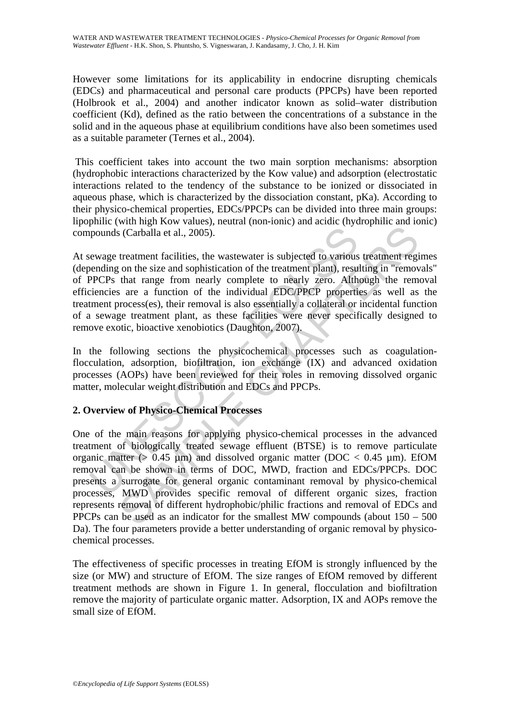However some limitations for its applicability in endocrine disrupting chemicals (EDCs) and pharmaceutical and personal care products (PPCPs) have been reported (Holbrook et al., 2004) and another indicator known as solid–water distribution coefficient (Kd), defined as the ratio between the concentrations of a substance in the solid and in the aqueous phase at equilibrium conditions have also been sometimes used as a suitable parameter (Ternes et al., 2004).

 This coefficient takes into account the two main sorption mechanisms: absorption (hydrophobic interactions characterized by the Kow value) and adsorption (electrostatic interactions related to the tendency of the substance to be ionized or dissociated in aqueous phase, which is characterized by the dissociation constant, pKa). According to their physico-chemical properties, EDCs/PPCPs can be divided into three main groups: lipophilic (with high Kow values), neutral (non-ionic) and acidic (hydrophilic and ionic) compounds (Carballa et al., 2005).

pounds (Carballa et al., 2005).<br>
pounds (Carballa et al., 2005).<br>
ewage treatment facilities, the wastewater is subjected to various<br>
peperDes that range from nearly complete to nearly zero. Alth<br>
peperDes that range from At sewage treatment facilities, the wastewater is subjected to various treatment regimes (depending on the size and sophistication of the treatment plant), resulting in "removals" of PPCPs that range from nearly complete to nearly zero. Although the removal efficiencies are a function of the individual EDC/PPCP properties as well as the treatment process(es), their removal is also essentially a collateral or incidental function of a sewage treatment plant, as these facilities were never specifically designed to remove exotic, bioactive xenobiotics (Daughton, 2007).

In the following sections the physicochemical processes such as coagulationflocculation, adsorption, biofiltration, ion exchange (IX) and advanced oxidation processes (AOPs) have been reviewed for their roles in removing dissolved organic matter, molecular weight distribution and EDCs and PPCPs.

### **2. Overview of Physico-Chemical Processes**

Solution of the size of the matter (b) and size of the size of the size of the size of the size and sophistication of the treatment plant), resulting in "remove that range from nearly complete to nearly zero. Although the One of the main reasons for applying physico-chemical processes in the advanced treatment of biologically treated sewage effluent (BTSE) is to remove particulate organic matter ( $> 0.45$  µm) and dissolved organic matter (DOC  $< 0.45$  µm). EfOM removal can be shown in terms of DOC, MWD, fraction and EDCs/PPCPs. DOC presents a surrogate for general organic contaminant removal by physico-chemical processes, MWD provides specific removal of different organic sizes, fraction represents removal of different hydrophobic/philic fractions and removal of EDCs and PPCPs can be used as an indicator for the smallest MW compounds (about 150 – 500 Da). The four parameters provide a better understanding of organic removal by physicochemical processes.

The effectiveness of specific processes in treating EfOM is strongly influenced by the size (or MW) and structure of EfOM. The size ranges of EfOM removed by different treatment methods are shown in Figure 1. In general, flocculation and biofiltration remove the majority of particulate organic matter. Adsorption, IX and AOPs remove the small size of EfOM.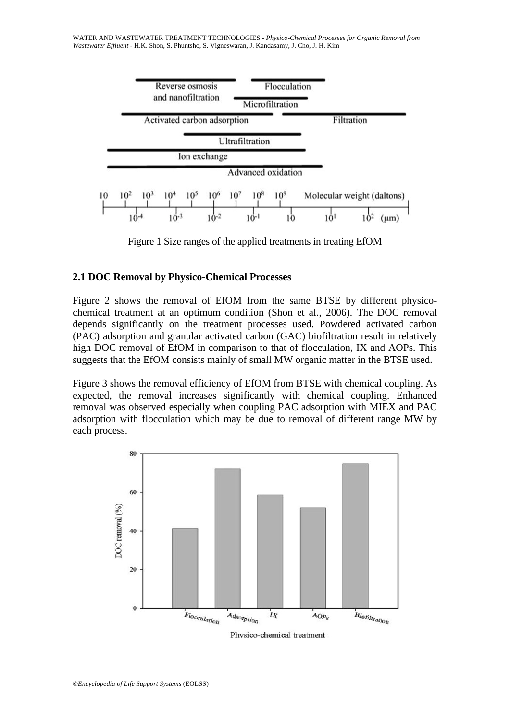WATER AND WASTEWATER TREATMENT TECHNOLOGIES - *Physico-Chemical Processes for Organic Removal from Wastewater Effluent* - H.K. Shon, S. Phuntsho, S. Vigneswaran, J. Kandasamy, J. Cho, J. H. Kim



Figure 1 Size ranges of the applied treatments in treating EfOM

#### **2.1 DOC Removal by Physico-Chemical Processes**

Figure 1 Size ranges of the applied treatments in treating F<br>
DOC Removal by Physico-Chemical Processes<br>
ure 2 shows the removal of EfOM from the same BTSE by<br>
microlareatment at an optimum condition (Shon et al., 2006). T Figure 2 shows the removal of EfOM from the same BTSE by different physicochemical treatment at an optimum condition (Shon et al., 2006). The DOC removal depends significantly on the treatment processes used. Powdered activated carbon (PAC) adsorption and granular activated carbon (GAC) biofiltration result in relatively high DOC removal of EfOM in comparison to that of flocculation, IX and AOPs. This suggests that the EfOM consists mainly of small MW organic matter in the BTSE used.

Figure 3 shows the removal efficiency of EfOM from BTSE with chemical coupling. As expected, the removal increases significantly with chemical coupling. Enhanced removal was observed especially when coupling PAC adsorption with MIEX and PAC adsorption with flocculation which may be due to removal of different range MW by each process.



Physico-chemical treatment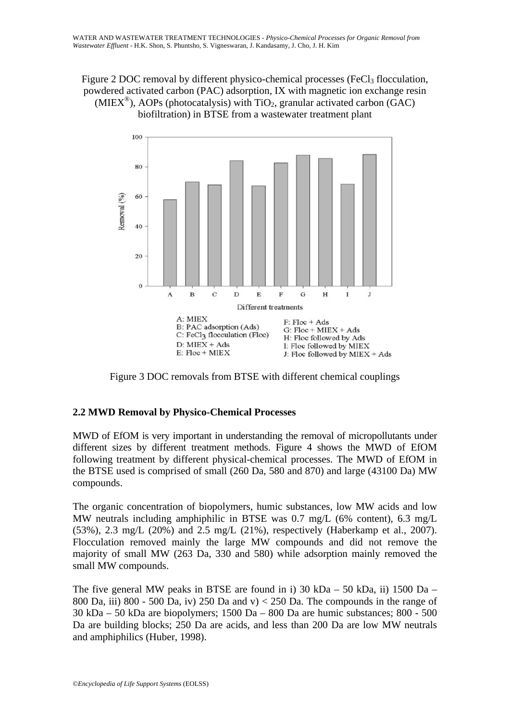### Figure 2 DOC removal by different physico-chemical processes (FeCl<sub>3</sub> flocculation, powdered activated carbon (PAC) adsorption, IX with magnetic ion exchange resin (MIEX<sup>®</sup>), AOPs (photocatalysis) with TiO<sub>2</sub>, granular activated carbon (GAC) biofiltration) in BTSE from a wastewater treatment plant



Figure 3 DOC removals from BTSE with different chemical couplings

# **2.2 MWD Removal by Physico-Chemical Processes**

MWD of EfOM is very important in understanding the removal of micropollutants under different sizes by different treatment methods. Figure 4 shows the MWD of EfOM following treatment by different physical-chemical processes. The MWD of EfOM in the BTSE used is comprised of small (260 Da, 580 and 870) and large (43100 Da) MW compounds.

The organic concentration of biopolymers, humic substances, low MW acids and low MW neutrals including amphiphilic in BTSE was 0.7 mg/L (6% content), 6.3 mg/L (53%), 2.3 mg/L (20%) and 2.5 mg/L (21%), respectively (Haberkamp et al., 2007). Flocculation removed mainly the large MW compounds and did not remove the majority of small MW (263 Da, 330 and 580) while adsorption mainly removed the small MW compounds.

The five general MW peaks in BTSE are found in i) 30 kDa – 50 kDa, ii) 1500 Da – 800 Da, iii) 800 - 500 Da, iv) 250 Da and v $\ge$  250 Da. The compounds in the range of 30 kDa – 50 kDa are biopolymers; 1500 Da – 800 Da are humic substances; 800 - 500 Da are building blocks; 250 Da are acids, and less than 200 Da are low MW neutrals and amphiphilics (Huber, 1998).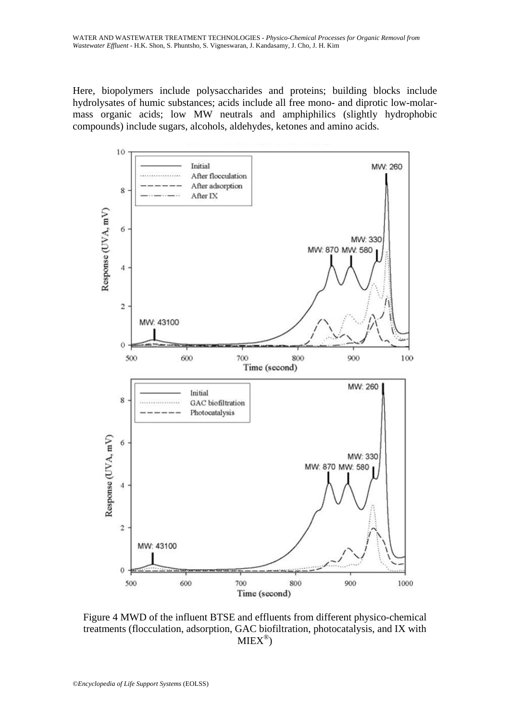Here, biopolymers include polysaccharides and proteins; building blocks include hydrolysates of humic substances; acids include all free mono- and diprotic low-molarmass organic acids; low MW neutrals and amphiphilics (slightly hydrophobic compounds) include sugars, alcohols, aldehydes, ketones and amino acids.



Figure 4 MWD of the influent BTSE and effluents from different physico-chemical treatments (flocculation, adsorption, GAC biofiltration, photocatalysis, and IX with  $MIEX^{\circledR})$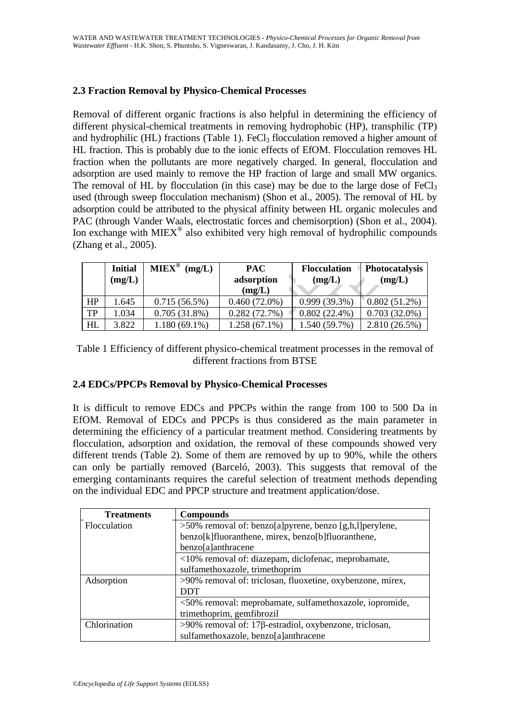### **2.3 Fraction Removal by Physico-Chemical Processes**

Removal of different organic fractions is also helpful in determining the efficiency of different physical-chemical treatments in removing hydrophobic (HP), transphilic (TP) and hydrophilic (HL) fractions (Table 1). FeCl<sub>3</sub> flocculation removed a higher amount of HL fraction. This is probably due to the ionic effects of EfOM. Flocculation removes HL fraction when the pollutants are more negatively charged. In general, flocculation and adsorption are used mainly to remove the HP fraction of large and small MW organics. The removal of HL by flocculation (in this case) may be due to the large dose of  $FeCl<sub>3</sub>$ used (through sweep flocculation mechanism) (Shon et al., 2005). The removal of HL by adsorption could be attributed to the physical affinity between HL organic molecules and PAC (through Vander Waals, electrostatic forces and chemisorption) (Shon et al., 2004). Ion exchange with  $MIEX^{\circledcirc}$  also exhibited very high removal of hydrophilic compounds (Zhang et al., 2005).

|           | <b>Initial</b><br>(mg/L) | $MIEX^{\circledR}$<br>(mg/L) | <b>PAC</b><br>adsorption<br>(mg/L) | <b>Flocculation</b><br>(mg/L) | <b>Photocatalysis</b><br>(mg/L) |
|-----------|--------------------------|------------------------------|------------------------------------|-------------------------------|---------------------------------|
| HP        | 1.645                    | 0.715(56.5%)                 | $0.460(72.0\%)$                    | 0.999(39.3%)                  | $0.802(51.2\%)$                 |
| <b>TP</b> | 1.034                    | 0.705(31.8%)                 | 0.282(72.7%)                       | $0.802(22.4\%)$               | $0.703(32.0\%)$                 |
| HL        | 3.822                    | $1.180(69.1\%)$              | 1.258 (67.1%)                      | 1.540 (59.7%)                 | 2.810(26.5%)                    |

Table 1 Efficiency of different physico-chemical treatment processes in the removal of different fractions from BTSE

#### **2.4 EDCs/PPCPs Removal by Physico-Chemical Processes**

exchange with MIEX<sup>®</sup> also exhibited very high removal of hydre<br>
ang et al., 2005).<br> **Initial** MIEX<sup>®</sup> (mg/L) **PAC exercises**<br> **EOLS ACC (mg/L) EOLS ACC (mg/L) EOLS ACC (mg/L)**<br> **EOLS ACC (mg/L) EOLS ACC (mg/L)** ge with MIEX<sup>®</sup> also exhibited very high removal of hydrophilic compours<br>
u. 2005).<br>
intial MIEX<sup>®</sup> (mg/L) **PAC**<br>
intial MIEX<sup>®</sup> (mg/L) **PAC**<br>
(mg/L) **CHAPTERS** (mg/L) **CHAPTERS** (mg/L) (mg/L) (mg/L)<br>
6.645 0.715 (56.5%) It is difficult to remove EDCs and PPCPs within the range from 100 to 500 Da in EfOM. Removal of EDCs and PPCPs is thus considered as the main parameter in determining the efficiency of a particular treatment method. Considering treatments by flocculation, adsorption and oxidation, the removal of these compounds showed very different trends (Table 2). Some of them are removed by up to 90%, while the others can only be partially removed (Barceló, 2003). This suggests that removal of the emerging contaminants requires the careful selection of treatment methods depending on the individual EDC and PPCP structure and treatment application/dose.

| <b>Treatments</b> | <b>Compounds</b>                                           |
|-------------------|------------------------------------------------------------|
| Flocculation      | $>50\%$ removal of: benzo[a]pyrene, benzo [g,h,l]perylene, |
|                   | benzo[k]fluoranthene, mirex, benzo[b]fluoranthene,         |
|                   | benzo[a]anthracene                                         |
|                   | <10% removal of: diazepam, diclofenac, meprobamate,        |
|                   | sulfamethoxazole, trimethoprim                             |
| Adsorption        | >90% removal of: triclosan, fluoxetine, oxybenzone, mirex, |
|                   | <b>DDT</b>                                                 |
|                   | <50% removal: meprobamate, sulfamethoxazole, iopromide,    |
|                   | trimethoprim, gemfibrozil                                  |
| Chlorination      | $>90\%$ removal of: 17β-estradiol, oxybenzone, triclosan,  |
|                   | sulfamethoxazole, benzo[a]anthracene                       |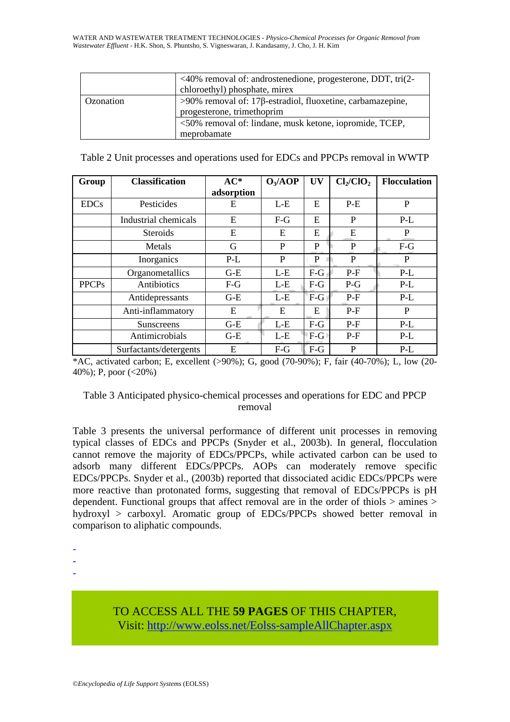|           | $\langle 40\% \rangle$ removal of: androstenedione, progesterone, DDT, tri $(2-\rangle$<br>chloroethyl) phosphate, mirex |  |  |
|-----------|--------------------------------------------------------------------------------------------------------------------------|--|--|
| Ozonation | $>90\%$ removal of: 17β-estradiol, fluoxetine, carbamazepine,<br>progesterone, trimethoprim                              |  |  |
|           | <50% removal of: lindane, musk ketone, iopromide, TCEP,<br>meprobamate                                                   |  |  |

| Table 2 Unit processes and operations used for EDCs and PPCPs removal in WWTP |  |  |  |
|-------------------------------------------------------------------------------|--|--|--|
|                                                                               |  |  |  |

| Group        | <b>Classification</b>                                                                                                                                                                                                                                                                                                                                                                                                                                                                                                                                                                                                                                                                                                        | $AC*$<br>adsorption | $O_3/AOP$    | <b>UV</b>                      | $Cl_2/ClO_2$ | <b>Flocculation</b> |
|--------------|------------------------------------------------------------------------------------------------------------------------------------------------------------------------------------------------------------------------------------------------------------------------------------------------------------------------------------------------------------------------------------------------------------------------------------------------------------------------------------------------------------------------------------------------------------------------------------------------------------------------------------------------------------------------------------------------------------------------------|---------------------|--------------|--------------------------------|--------------|---------------------|
| <b>EDCs</b>  | Pesticides                                                                                                                                                                                                                                                                                                                                                                                                                                                                                                                                                                                                                                                                                                                   | E                   | $L-E$        | E                              | $P-E$        | $\mathbf{P}$        |
|              | Industrial chemicals                                                                                                                                                                                                                                                                                                                                                                                                                                                                                                                                                                                                                                                                                                         | E                   | $F-G$        | E                              | $\mathbf{P}$ | $P-L$               |
|              | <b>Steroids</b>                                                                                                                                                                                                                                                                                                                                                                                                                                                                                                                                                                                                                                                                                                              | E                   | E            | E                              | E            | $\mathbf{P}$        |
|              | Metals                                                                                                                                                                                                                                                                                                                                                                                                                                                                                                                                                                                                                                                                                                                       | G                   | $\mathbf{P}$ | $\mathbf{P}$                   | ${\bf P}$    | $F-G$               |
|              | Inorganics                                                                                                                                                                                                                                                                                                                                                                                                                                                                                                                                                                                                                                                                                                                   | $P-L$               | $\mathbf{P}$ | P                              | $\mathbf{P}$ | $\mathbf{P}$        |
|              | Organometallics                                                                                                                                                                                                                                                                                                                                                                                                                                                                                                                                                                                                                                                                                                              | $G-E$               | $L-E$        | $F-G$                          | $P-F$        | $P-L$               |
| <b>PPCPs</b> | Antibiotics                                                                                                                                                                                                                                                                                                                                                                                                                                                                                                                                                                                                                                                                                                                  | $F-G$               | $L-E$        | $F-G$                          | $P-G$        | $P-L$               |
|              | Antidepressants                                                                                                                                                                                                                                                                                                                                                                                                                                                                                                                                                                                                                                                                                                              | $G-E$               | $L-E$        | $F-G$                          | $P-F$        | $P-L$               |
|              | Anti-inflammatory                                                                                                                                                                                                                                                                                                                                                                                                                                                                                                                                                                                                                                                                                                            | E                   | E            | E                              | $P-F$        | P                   |
|              | Sunscreens                                                                                                                                                                                                                                                                                                                                                                                                                                                                                                                                                                                                                                                                                                                   | $G-E$               | $L-E$        | $F-G$                          | $P-F$        | $P-L$               |
|              | Antimicrobials                                                                                                                                                                                                                                                                                                                                                                                                                                                                                                                                                                                                                                                                                                               | $G-E$               | $L-E$        | $\mathsf{F}\text{-}\mathbf{G}$ | $P-F$        | $P-L$               |
|              | Surfactants/detergents                                                                                                                                                                                                                                                                                                                                                                                                                                                                                                                                                                                                                                                                                                       | E                   | $F-G$        | $F-G$                          | $\mathbf{P}$ | $P-L$               |
|              | *AC, activated carbon; E, excellent (>90%); G, good (70-90%); F, fair (40-70%); L, low (20-<br>40%); P, poor $(<20\%)$<br>Table 3 Anticipated physico-chemical processes and operations for EDC and PPCP                                                                                                                                                                                                                                                                                                                                                                                                                                                                                                                     | removal             |              |                                |              |                     |
|              | Table 3 presents the universal performance of different unit processes in removing<br>typical classes of EDCs and PPCPs (Snyder et al., 2003b). In general, flocculation<br>cannot remove the majority of EDCs/PPCPs, while activated carbon can be used to<br>adsorb many different EDCs/PPCPs. AOPs can moderately remove specific<br>EDCs/PPCPs. Snyder et al., (2003b) reported that dissociated acidic EDCs/PPCPs were<br>more reactive than protonated forms, suggesting that removal of EDCs/PPCPs is pH<br>dependent. Functional groups that affect removal are in the order of thiols > amines ><br>hydroxyl > carboxyl. Aromatic group of EDCs/PPCPs showed better removal in<br>comparison to alinhatic compounds |                     |              |                                |              |                     |

### Table 3 Anticipated physico-chemical processes and operations for EDC and PPCP removal

-

-

-

TO ACCESS ALL THE **59 PAGES** OF THIS CHAPTER, Visit[: http://www.eolss.net/Eolss-sampleAllChapter.aspx](https://www.eolss.net/ebooklib/sc_cart.aspx?File=E6-144-07)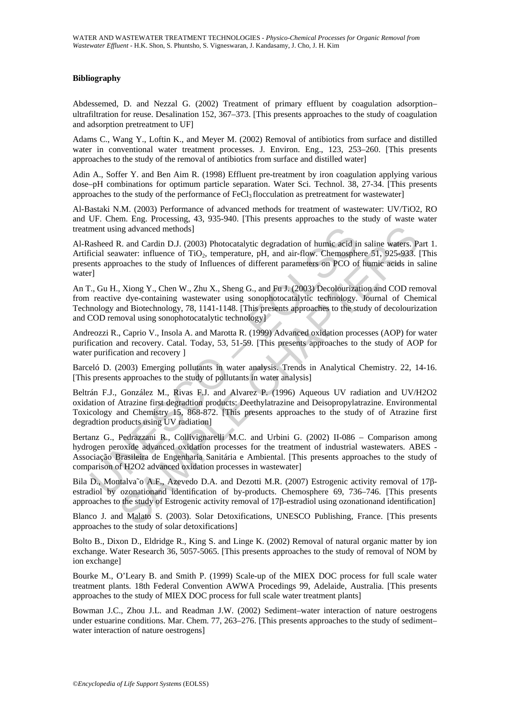#### **Bibliography**

Abdessemed, D. and Nezzal G. (2002) Treatment of primary effluent by coagulation adsorption– ultrafiltration for reuse. Desalination 152, 367–373. [This presents approaches to the study of coagulation and adsorption pretreatment to UF]

Adams C., Wang Y., Loftin K., and Meyer M. (2002) Removal of antibiotics from surface and distilled water in conventional water treatment processes. J. Environ. Eng., 123, 253–260. [This presents approaches to the study of the removal of antibiotics from surface and distilled water]

Adin A., Soffer Y. and Ben Aim R. (1998) Effluent pre-treatment by iron coagulation applying various dose–pH combinations for optimum particle separation. Water Sci. Technol. 38, 27-34. [This presents approaches to the study of the performance of  $FeCl<sub>3</sub>$  flocculation as pretreatment for wastewater]

Al-Bastaki N.M. (2003) Performance of advanced methods for treatment of wastewater: UV/TiO2, RO and UF. Chem. Eng. Processing, 43, 935-940. [This presents approaches to the study of waste water treatment using advanced methods]

Al-Rasheed R. and Cardin D.J. (2003) Photocatalytic degradation of humic acid in saline waters. Part 1. Artificial seawater: influence of TiO<sub>2</sub>, temperature, pH, and air-flow. Chemosphere 51, 925-933. [This presents approaches to the study of Influences of different parameters on PCO of humic acids in saline water]

An T., Gu H., Xiong Y., Chen W., Zhu X., Sheng G., and Fu J. (2003) Decolourization and COD removal from reactive dye-containing wastewater using sonophotocatalytic technology. Journal of Chemical Technology and Biotechnology, 78, 1141-1148. [This presents approaches to the study of decolourization and COD removal using sonophotocatalytic technology]

Andreozzi R., Caprio V., Insola A. and Marotta R. (1999) Advanced oxidation processes (AOP) for water purification and recovery. Catal. Today, 53, 51-59. [This presents approaches to the study of AOP for water purification and recovery ]

Barceló D. (2003) Emerging pollutants in water analysis. Trends in Analytical Chemistry. 22, 14-16. [This presents approaches to the study of pollutants in water analysis]

ment using advanced methods]<br>
asheed R. and Cardin D.J. (2003) Photocatalytic degradation of humic acid<br>
itsical seawater: influence of TiO<sub>2</sub>, temperature, pH, and air-flow. Chemosphents<br>
approaches to the study of Influe mg advanced methods]<br>
R. and Cardin D.J. (2003) Photocatalytic degradation of humic acid in saline waters. Pale<br>
and Cardin D.J. (2003) Photocatalytic degradation of humic acid in saline waters.<br>
Theoretic influences of di Beltrán F.J., González M., Rivas F.J. and Alvarez P. (1996) Aqueous UV radiation and UV/H2O2 oxidation of Atrazine first degradtion products: Deethylatrazine and Deisopropylatrazine. Environmental Toxicology and Chemistry 15, 868-872. [This presents approaches to the study of of Atrazine first degradtion products using UV radiation]

Bertanz G., Pedrazzani R., Collivignarelli M.C. and Urbini G. (2002) II-086 – Comparison among hydrogen peroxide advanced oxidation processes for the treatment of industrial wastewaters. ABES - Associação Brasileira de Engenharia Sanitária e Ambiental. [This presents approaches to the study of comparison of H2O2 advanced oxidation processes in wastewater]

Bila D., Montalva˜o A.F., Azevedo D.A. and Dezotti M.R. (2007) Estrogenic activity removal of 17βestradiol by ozonationand identification of by-products. Chemosphere 69, 736–746. [This presents approaches to the study of Estrogenic activity removal of 17β-estradiol using ozonationand identification]

Blanco J. and Malato S. (2003). Solar Detoxifications, UNESCO Publishing, France. [This presents approaches to the study of solar detoxifications]

Bolto B., Dixon D., Eldridge R., King S. and Linge K. (2002) Removal of natural organic matter by ion exchange. Water Research 36, 5057-5065. [This presents approaches to the study of removal of NOM by ion exchange]

Bourke M., O'Leary B. and Smith P. (1999) Scale-up of the MIEX DOC process for full scale water treatment plants. 18th Federal Convention AWWA Procedings 99, Adelaide, Australia. [This presents approaches to the study of MIEX DOC process for full scale water treatment plants]

Bowman J.C., Zhou J.L. and Readman J.W. (2002) Sediment–water interaction of nature oestrogens under estuarine conditions. Mar. Chem. 77, 263–276. [This presents approaches to the study of sediment– water interaction of nature oestrogens]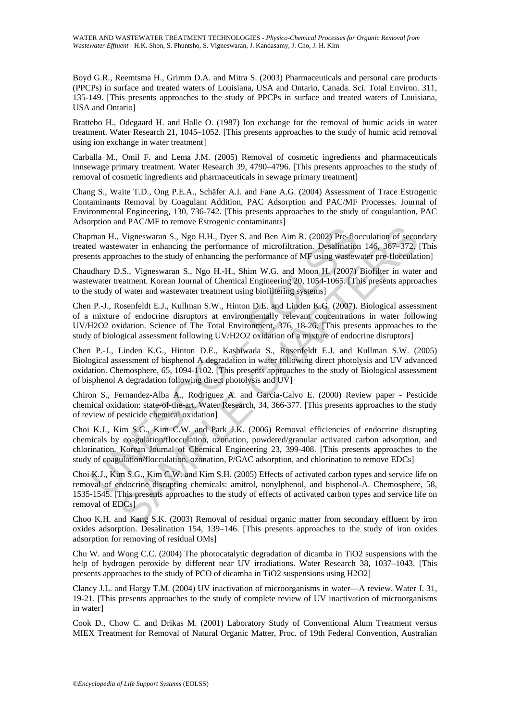Boyd G.R., Reemtsma H., Grimm D.A. and Mitra S. (2003) Pharmaceuticals and personal care products (PPCPs) in surface and treated waters of Louisiana, USA and Ontario, Canada. Sci. Total Environ. 311, 135-149. [This presents approaches to the study of PPCPs in surface and treated waters of Louisiana, USA and Ontario]

Brattebo H., Odegaard H. and Halle O. (1987) Ion exchange for the removal of humic acids in water treatment. Water Research 21, 1045–1052. [This presents approaches to the study of humic acid removal using ion exchange in water treatment]

Carballa M., Omil F. and Lema J.M. (2005) Removal of cosmetic ingredients and pharmaceuticals innsewage primary treatment. Water Research 39, 4790–4796. [This presents approaches to the study of removal of cosmetic ingredients and pharmaceuticals in sewage primary treatment]

Chang S., Waite T.D., Ong P.E.A., Schäfer A.I. and Fane A.G. (2004) Assessment of Trace Estrogenic Contaminants Removal by Coagulant Addition, PAC Adsorption and PAC/MF Processes. Journal of Environmental Engineering, 130, 736-742. [This presents approaches to the study of coagulantion, PAC Adsorption and PAC/MF to remove Estrogenic contaminants]

Chapman H., Vigneswaran S., Ngo H.H., Dyer S. and Ben Aim R. (2002) Pre-flocculation of secondary treated wastewater in enhancing the performance of microfiltration. Desalination 146, 367–372. [This presents approaches to the study of enhancing the performance of MF using wastewater pre-flocculation]

Chaudhary D.S., Vigneswaran S., Ngo H.-H., Shim W.G. and Moon H. (2007) Biofilter in water and wastewater treatment. Korean Journal of Chemical Engineering 20, 1054-1065. [This presents approaches to the study of water and wastewater treatment using biofiltering systems]

The mann H., Vigneswaran S., Ngo H.H., Dyer S. and Ben Aim R. (2002) Pre-floor wastewater in enhancing the performance of microfiltration. Desalination<br>this approaches to the study of enhancing the performance of MF using Vigneswaran S., Ngo H.H., Dyer S. and Ben Aim R. (2002) Pre-flocculation of second<br>water in enhancing the performance of microfiltration. Desalination 146, 367–372,<br>oaches to the study of enhancing the performance of MF us Chen P.-J., Rosenfeldt E.J., Kullman S.W., Hinton D.E. and Linden K.G. (2007). Biological assessment of a mixture of endocrine disruptors at environmentally relevant concentrations in water following UV/H2O2 oxidation. Science of The Total Environment, 376, 18-26. [This presents approaches to the study of biological assessment following UV/H2O2 oxidation of a mixture of endocrine disruptors]

Chen P.-J., Linden K.G., Hinton D.E., Kashiwada S., Rosenfeldt E.J. and Kullman S.W. (2005) Biological assessment of bisphenol A degradation in water following direct photolysis and UV advanced oxidation. Chemosphere, 65, 1094-1102. [This presents approaches to the study of Biological assessment of bisphenol A degradation following direct photolysis and UV]

Chiron S., Fernandez-Alba A., Rodriguez A. and Garcia-Calvo E. (2000) Review paper - Pesticide chemical oxidation: state-of-the-art. Water Research, 34, 366-377. [This presents approaches to the study of review of pesticide chemical oxidation]

Choi K.J., Kim S.G., Kim C.W. and Park J.K. (2006) Removal efficiencies of endocrine disrupting chemicals by coagulation/flocculation, ozonation, powdered/granular activated carbon adsorption, and chlorination. Korean Journal of Chemical Engineering 23, 399-408. [This presents approaches to the study of coagulation/flocculation, ozonation, P/GAC adsorption, and chlorination to remove EDCs]

Choi K.J., Kim S.G., Kim C.W. and Kim S.H. (2005) Effects of activated carbon types and service life on removal of endocrine disrupting chemicals: amitrol, nonylphenol, and bisphenol-A. Chemosphere, 58, 1535-1545. [This presents approaches to the study of effects of activated carbon types and service life on removal of EDCs]

Choo K.H. and Kang S.K. (2003) Removal of residual organic matter from secondary effluent by iron oxides adsorption. Desalination 154, 139–146. [This presents approaches to the study of iron oxides adsorption for removing of residual OMs]

Chu W. and Wong C.C. (2004) The photocatalytic degradation of dicamba in TiO2 suspensions with the help of hydrogen peroxide by different near UV irradiations. Water Research 38, 1037–1043. [This presents approaches to the study of PCO of dicamba in TiO2 suspensions using H2O2]

Clancy J.L. and Hargy T.M. (2004) UV inactivation of microorganisms in water—A review. Water J. 31, 19-21. [This presents approaches to the study of complete review of UV inactivation of microorganisms in water]

Cook D., Chow C. and Drikas M. (2001) Laboratory Study of Conventional Alum Treatment versus MIEX Treatment for Removal of Natural Organic Matter, Proc. of 19th Federal Convention, Australian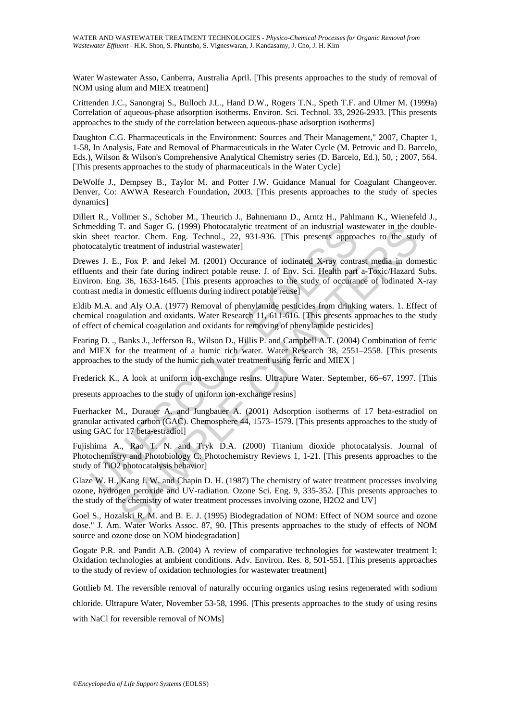Water Wastewater Asso, Canberra, Australia April. [This presents approaches to the study of removal of NOM using alum and MIEX treatment]

Crittenden J.C., Sanongraj S., Bulloch J.L., Hand D.W., Rogers T.N., Speth T.F. and Ulmer M. (1999a) Correlation of aqueous-phase adsorption isotherms. Environ. Sci. Technol. 33, 2926-2933. [This presents approaches to the study of the correlation between aqueous-phase adsorption isotherms]

Daughton C.G. Pharmaceuticals in the Environment: Sources and Their Management," 2007, Chapter 1, 1-58, In Analysis, Fate and Removal of Pharmaceuticals in the Water Cycle (M. Petrovic and D. Barcelo, Eds.), Wilson & Wilson's Comprehensive Analytical Chemistry series (D. Barcelo, Ed.), 50, ; 2007, 564. [This presents approaches to the study of pharmaceuticals in the Water Cycle]

DeWolfe J., Dempsey B., Taylor M. and Potter J.W. Guidance Manual for Coagulant Changeover. Denver, Co: AWWA Research Foundation, 2003. [This presents approaches to the study of species dynamics]

Dillert R., Vollmer S., Schober M., Theurich J., Bahnemann D., Arntz H., Pahlmann K., Wienefeld J., Schmedding T. and Sager G. (1999) Photocatalytic treatment of an industrial wastewater in the doubleskin sheet reactor. Chem. Eng. Technol., 22, 931-936. [This presents approaches to the study of photocatalytic treatment of industrial wastewater]

nedding T. and Sager G. (1999) Photocatalytic treatment of an industrial was<br>sheet reactor. Chem. Eng. Technol., 22, 931-936. [This presents approacatalytic treatment of industrial wastewater]<br>ves J. E., Fox P. and Jekel M T. and Sager G. (1999) Photocatalytic treatment of an industrial wastewater in the do<br>eactor. Chem. Eng. Technol., 22, 931-936. [This presents approaches to the stude<br>treatment of industrial wastewater]<br>., Fox P. and Jeke Drewes J. E., Fox P. and Jekel M. (2001) Occurance of iodinated X-ray contrast media in domestic effluents and their fate during indirect potable reuse. J. of Env. Sci. Health part a-Toxic/Hazard Subs. Environ. Eng. 36, 1633-1645. [This presents approaches to the study of occurance of iodinated X-ray contrast media in domestic effluents during indirect potable reuse]

Eldib M.A. and Aly O.A. (1977) Removal of phenylamide pesticides from drinking waters. 1. Effect of chemical coagulation and oxidants. Water Research 11, 611-616. [This presents approaches to the study of effect of chemical coagulation and oxidants for removing of phenylamide pesticides]

Fearing D. ., Banks J., Jefferson B., Wilson D., Hillis P. and Campbell A.T. (2004) Combination of ferric and MIEX for the treatment of a humic rich water. Water Research 38, 2551–2558. [This presents approaches to the study of the humic rich water treatment using ferric and MIEX ]

Frederick K., A look at uniform ion-exchange resins. Ultrapure Water. September, 66–67, 1997. [This

presents approaches to the study of uniform ion-exchange resins]

Fuerhacker M., Durauer A. and Jungbauer A. (2001) Adsorption isotherms of 17 beta-estradiol on granular activated carbon (GAC). Chemosphere 44, 1573–1579. [This presents approaches to the study of using GAC for 17 beta-estradiol]

Fujishima A., Rao T. N. and Tryk D.A. (2000) Titanium dioxide photocatalysis. Journal of Photochemistry and Photobiology C: Photochemistry Reviews 1, 1-21. [This presents approaches to the study of TiO2 photocatalysis behavior]

Glaze W. H., Kang J. W. and Chapin D. H. (1987) The chemistry of water treatment processes involving ozone, hydrogen peroxide and UV-radiation. Ozone Sci. Eng. 9, 335-352. [This presents approaches to the study of the chemistry of water treatment processes involving ozone, H2O2 and UV]

Goel S., Hozalski R. M. and B. E. J. (1995) Biodegradation of NOM: Effect of NOM source and ozone dose." J. Am. Water Works Assoc. 87, 90. [This presents approaches to the study of effects of NOM source and ozone dose on NOM biodegradation]

Gogate P.R. and Pandit A.B. (2004) A review of comparative technologies for wastewater treatment I: Oxidation technologies at ambient conditions. Adv. Environ. Res. 8, 501-551. [This presents approaches to the study of review of oxidation technologies for wastewater treatment]

Gottlieb M. The reversible removal of naturally occuring organics using resins regenerated with sodium

chloride. Ultrapure Water, November 53-58, 1996. [This presents approaches to the study of using resins

with NaCl for reversible removal of NOMs]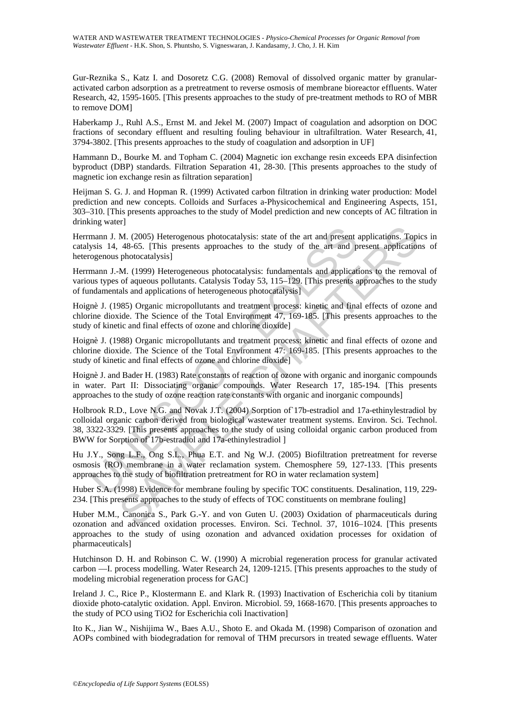Gur-Reznika S., Katz I. and Dosoretz C.G. (2008) Removal of dissolved organic matter by granularactivated carbon adsorption as a pretreatment to reverse osmosis of membrane bioreactor effluents. Water Research, 42, 1595-1605. [This presents approaches to the study of pre-treatment methods to RO of MBR to remove DOM]

Haberkamp J., Ruhl A.S., Ernst M. and Jekel M. (2007) Impact of coagulation and adsorption on DOC fractions of secondary effluent and resulting fouling behaviour in ultrafiltration. Water Research, 41, 3794-3802. [This presents approaches to the study of coagulation and adsorption in UF]

Hammann D., Bourke M. and Topham C. (2004) Magnetic ion exchange resin exceeds EPA disinfection byproduct (DBP) standards. Filtration Separation 41, 28-30. [This presents approaches to the study of magnetic ion exchange resin as filtration separation]

Heijman S. G. J. and Hopman R. (1999) Activated carbon filtration in drinking water production: Model prediction and new concepts. Colloids and Surfaces a-Physicochemical and Engineering Aspects, 151, 303–310. [This presents approaches to the study of Model prediction and new concepts of AC filtration in drinking water]

Herrmann J. M. (2005) Heterogenous photocatalysis: state of the art and present applications. Topics in catalysis 14, 48-65. [This presents approaches to the study of the art and present applications of heterogenous photocatalysis]

Herrmann J.-M. (1999) Heterogeneous photocatalysis: fundamentals and applications to the removal of various types of aqueous pollutants. Catalysis Today 53, 115–129. [This presents approaches to the study of fundamentals and applications of heterogeneous photocatalysis]

Hoignè J. (1985) Organic micropollutants and treatment process: kinetic and final effects of ozone and chlorine dioxide. The Science of the Total Environment 47, 169-185. [This presents approaches to the study of kinetic and final effects of ozone and chlorine dioxide]

Hoignè J. (1988) Organic micropollutants and treatment process: kinetic and final effects of ozone and chlorine dioxide. The Science of the Total Environment 47: 169-185. [This presents approaches to the study of kinetic and final effects of ozone and chlorine dioxide]

Hoignè J. and Bader H. (1983) Rate constants of reaction of ozone with organic and inorganic compounds in water. Part II: Dissociating organic compounds. Water Research 17, 185-194. [This presents approaches to the study of ozone reaction rate constants with organic and inorganic compounds]

mann J. M. (2005) Heterogenous photocatalysis: state of the art and present sysis 14, 48-65. [This presents approaches to the study of the art and progenous photocatalysis]<br>was types of aqueous photocatalysis: fundamentals <sup>27</sup>. (2005) Heterogenous photocatalysis: state of the art and present applications. Topida-665. [This presents approaches to the study of the art and present applications) photocatalysis: fundamentals and applications to Holbrook R.D., Love N.G. and Novak J.T. (2004) Sorption of 17b-estradiol and 17a-ethinylestradiol by colloidal organic carbon derived from biological wastewater treatment systems. Environ. Sci. Technol. 38, 3322-3329. [This presents approaches to the study of using colloidal organic carbon produced from BWW for Sorption of 17b-estradiol and 17a-ethinylestradiol ]

Hu J.Y., Song L.F., Ong S.L., Phua E.T. and Ng W.J. (2005) Biofiltration pretreatment for reverse osmosis (RO) membrane in a water reclamation system. Chemosphere 59, 127-133. [This presents approaches to the study of biofiltration pretreatment for RO in water reclamation system]

Huber S.A. (1998) Evidence for membrane fouling by specific TOC constituents. Desalination, 119, 229- 234. [This presents approaches to the study of effects of TOC constituents on membrane fouling]

Huber M.M., Canonica S., Park G.-Y. and von Guten U. (2003) Oxidation of pharmaceuticals during ozonation and advanced oxidation processes. Environ. Sci. Technol. 37, 1016–1024. [This presents approaches to the study of using ozonation and advanced oxidation processes for oxidation of pharmaceuticals]

Hutchinson D. H. and Robinson C. W. (1990) A microbial regeneration process for granular activated carbon —I. process modelling. Water Research 24, 1209-1215. [This presents approaches to the study of modeling microbial regeneration process for GAC]

Ireland J. C., Rice P., Klostermann E. and Klark R. (1993) Inactivation of Escherichia coli by titanium dioxide photo-catalytic oxidation. Appl. Environ. Microbiol. 59, 1668-1670. [This presents approaches to the study of PCO using TiO2 for Escherichia coli Inactivation]

Ito K., Jian W., Nishijima W., Baes A.U., Shoto E. and Okada M. (1998) Comparison of ozonation and AOPs combined with biodegradation for removal of THM precursors in treated sewage effluents. Water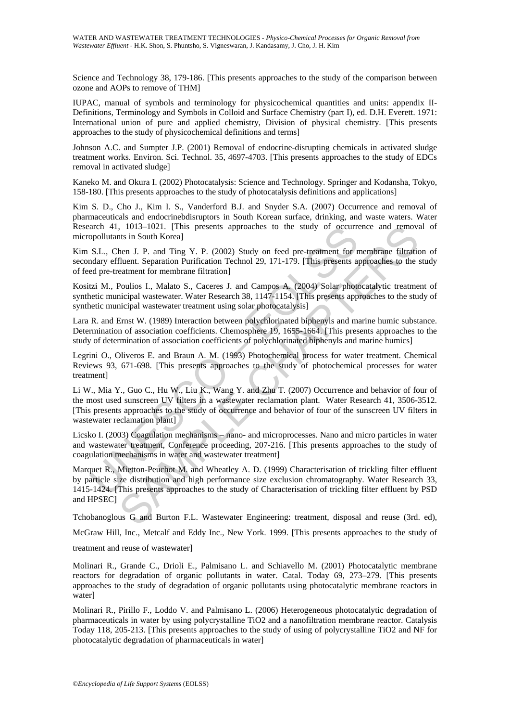Science and Technology 38, 179-186. [This presents approaches to the study of the comparison between ozone and AOPs to remove of THM]

IUPAC, manual of symbols and terminology for physicochemical quantities and units: appendix II-Definitions, Terminology and Symbols in Colloid and Surface Chemistry (part I), ed. D.H. Everett. 1971: International union of pure and applied chemistry, Division of physical chemistry. [This presents approaches to the study of physicochemical definitions and terms]

Johnson A.C. and Sumpter J.P. (2001) Removal of endocrine-disrupting chemicals in activated sludge treatment works. Environ. Sci. Technol. 35, 4697-4703. [This presents approaches to the study of EDCs removal in activated sludge]

Kaneko M. and Okura I. (2002) Photocatalysis: Science and Technology. Springer and Kodansha, Tokyo, 158-180. [This presents approaches to the study of photocatalysis definitions and applications]

Kim S. D., Cho J., Kim I. S., Vanderford B.J. and Snyder S.A. (2007) Occurrence and removal of pharmaceuticals and endocrinebdisruptors in South Korean surface, drinking, and waste waters. Water Research 41, 1013–1021. [This presents approaches to the study of occurrence and removal of micropollutants in South Korea]

Kim S.L., Chen J. P. and Ting Y. P. (2002) Study on feed pre-treatment for membrane filtration of secondary effluent. Separation Purification Technol 29, 171-179. [This presents approaches to the study of feed pre-treatment for membrane filtration]

Kositzi M., Poulios I., Malato S., Caceres J. and Campos A. (2004) Solar photocatalytic treatment of synthetic municipal wastewater. Water Research 38, 1147-1154. [This presents approaches to the study of synthetic municipal wastewater treatment using solar photocatalysis]

Lara R. and Ernst W. (1989) Interaction between polychlorinated biphenyls and marine humic substance. Determination of association coefficients. Chemosphere 19, 1655-1664. [This presents approaches to the study of determination of association coefficients of polychlorinated biphenyls and marine humics]

Legrini O., Oliveros E. and Braun A. M. (1993) Photochemical process for water treatment. Chemical Reviews 93, 671-698. [This presents approaches to the study of photochemical processes for water treatment]

arch 41, 1013–1021. [This presents approaches to the study of occurre<br>populuants in South Koreal]<br>S.L., Chen J. P. and Ting Y. P. (2002) Study on feed pre-treatment for n<br>S.L., Chen J. P. and Ting Y. P. (2002) Study on fee Li W., Mia Y., Guo C., Hu W., Liu K., Wang Y. and Zhu T. (2007) Occurrence and behavior of four of the most used sunscreen UV filters in a wastewater reclamation plant. Water Research 41, 3506-3512. [This presents approaches to the study of occurrence and behavior of four of the sunscreen UV filters in wastewater reclamation plant]

Licsko I. (2003) Coagulation mechanisms – nano- and microprocesses. Nano and micro particles in water and wastewater treatment, Conference proceeding, 207-216. [This presents approaches to the study of coagulation mechanisms in water and wastewater treatment]

1013–1021. [This presents approaches to the study of occurrence and remove<br>then J. P. and Ting Y. P. (2002) Study on feed pre-treatment for membrane filtratic<br>fluent Separation Purification Technol 29, 171-179. [This pres Marquet R., Mietton-Peuchot M. and Wheatley A. D. (1999) Characterisation of trickling filter effluent by particle size distribution and high performance size exclusion chromatography. Water Research 33, 1415-1424. [This presents approaches to the study of Characterisation of trickling filter effluent by PSD and HPSEC]

Tchobanoglous G and Burton F.L. Wastewater Engineering: treatment, disposal and reuse (3rd. ed),

McGraw Hill, Inc., Metcalf and Eddy Inc., New York. 1999. [This presents approaches to the study of

treatment and reuse of wastewater]

Molinari R., Grande C., Drioli E., Palmisano L. and Schiavello M. (2001) Photocatalytic membrane reactors for degradation of organic pollutants in water. Catal. Today 69, 273–279. [This presents approaches to the study of degradation of organic pollutants using photocatalytic membrane reactors in water]

Molinari R., Pirillo F., Loddo V. and Palmisano L. (2006) Heterogeneous photocatalytic degradation of pharmaceuticals in water by using polycrystalline TiO2 and a nanofiltration membrane reactor. Catalysis Today 118, 205-213. [This presents approaches to the study of using of polycrystalline TiO2 and NF for photocatalytic degradation of pharmaceuticals in water]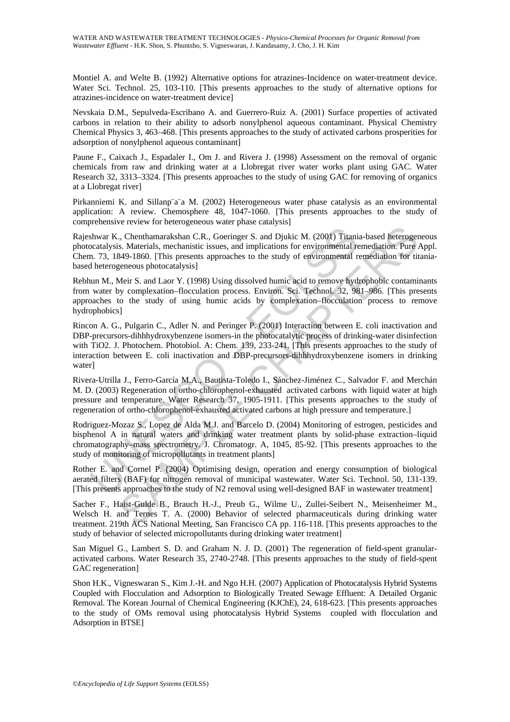Montiel A. and Welte B. (1992) Alternative options for atrazines-Incidence on water-treatment device. Water Sci. Technol. 25, 103-110. [This presents approaches to the study of alternative options for atrazines-incidence on water-treatment device]

Nevskaia D.M., Sepulveda-Escribano A. and Guerrero-Ruiz A. (2001) Surface properties of activated carbons in relation to their ability to adsorb nonylphenol aqueous contaminant. Physical Chemistry Chemical Physics 3, 463–468. [This presents approaches to the study of activated carbons prosperities for adsorption of nonylphenol aqueous contaminant]

Paune F., Caixach J., Espadaler I., Om J. and Rivera J. (1998) Assessment on the removal of organic chemicals from raw and drinking water at a Llobregat river water works plant using GAC. Water Research 32, 3313–3324. [This presents approaches to the study of using GAC for removing of organics at a Llobregat river]

Pirkanniemi K. and Sillanp¨a¨a M. (2002) Heterogeneous water phase catalysis as an environmental application: A review. Chemosphere 48, 1047-1060. [This presents approaches to the study of comprehensive review for heterogeneous water phase catalysis]

Rajeshwar K., Chenthamarakshan C.R., Goeringer S. and Djukic M. (2001) Titania-based heterogeneous photocatalysis. Materials, mechanistic issues, and implications for environmental remediation. Pure Appl. Chem. 73, 1849-1860. [This presents approaches to the study of environmental remediation for titaniabased heterogeneous photocatalysis]

Rebhun M., Meir S. and Laor Y. (1998) Using dissolved humic acid to remove hydrophobic contaminants from water by complexation–flocculation process. Environ. Sci. Technol. 32, 981–986. [This presents approaches to the study of using humic acids by complexation–flocculation process to remove hydrophobics]

shwar K., Chenthamarakshan C.R., Goeringer S. and Djukic M. (2001) Titani<br>ocatalysis. Materials, mechanistic issues, and implications for environmental re<br>ocatalysis. Materials, mechanistic issues, and implications for env Chenthamarakshan C.R., Goeringer S. and Djukie M. (2001) Titania-based heterogens. Materials, mechanistic issues, and implications for environmental remediation. Pure  $\alpha$ sta4949-1860. [This presents approaches to the stud Rincon A. G., Pulgarin C., Adler N. and Peringer P. (2001) Interaction between E. coli inactivation and DBP-precursors-dihhhydroxybenzene isomers-in the photocatalytic process of drinking-water disinfection with TiO2. J. Photochem. Photobiol. A: Chem. 139, 233-241. [This presents approaches to the study of interaction between E. coli inactivation and DBP-precursors-dihhhydroxybenzene isomers in drinking water<sup>1</sup>

Rivera-Utrilla J., Ferro-García M.A., Bautista-Toledo I., Sánchez-Jiménez C., Salvador F. and Merchán M. D. (2003) Regeneration of ortho-chlorophenol-exhausted activated carbons with liquid water at high pressure and temperature. Water Research 37, 1905-1911. [This presents approaches to the study of regeneration of ortho-chlorophenol-exhausted activated carbons at high pressure and temperature.]

Rodriguez-Mozaz S., Lopez de Alda M.J. and Barcelo D. (2004) Monitoring of estrogen, pesticides and bisphenol A in natural waters and drinking water treatment plants by solid-phase extraction–liquid chromatography–mass spectrometry. J. Chromatogr. A, 1045, 85-92. [This presents approaches to the study of monitoring of micropollutants in treatment plants]

Rother E. and Cornel P. (2004) Optimising design, operation and energy consumption of biological aerated filters (BAF) for nitrogen removal of municipal wastewater. Water Sci. Technol. 50, 131-139. [This presents approaches to the study of N2 removal using well-designed BAF in wastewater treatment]

Sacher F., Haist-Gulde B., Brauch H.-J., Preub G., Wilme U., Zullei-Seibert N., Meisenheimer M., Welsch H. and Ternes T. A. (2000) Behavior of selected pharmaceuticals during drinking water treatment. 219th ACS National Meeting, San Francisco CA pp. 116-118. [This presents approaches to the study of behavior of selected micropollutants during drinking water treatment]

San Miguel G., Lambert S. D. and Graham N. J. D. (2001) The regeneration of field-spent granularactivated carbons. Water Research 35, 2740-2748. [This presents approaches to the study of field-spent GAC regeneration]

Shon H.K., Vigneswaran S., Kim J.-H. and Ngo H.H. (2007) Application of Photocatalysis Hybrid Systems Coupled with Flocculation and Adsorption to Biologically Treated Sewage Effluent: A Detailed Organic Removal. The Korean Journal of Chemical Engineering (KJChE), 24, 618-623. [This presents approaches to the study of OMs removal using photocatalysis Hybrid Systems coupled with flocculation and Adsorption in BTSE]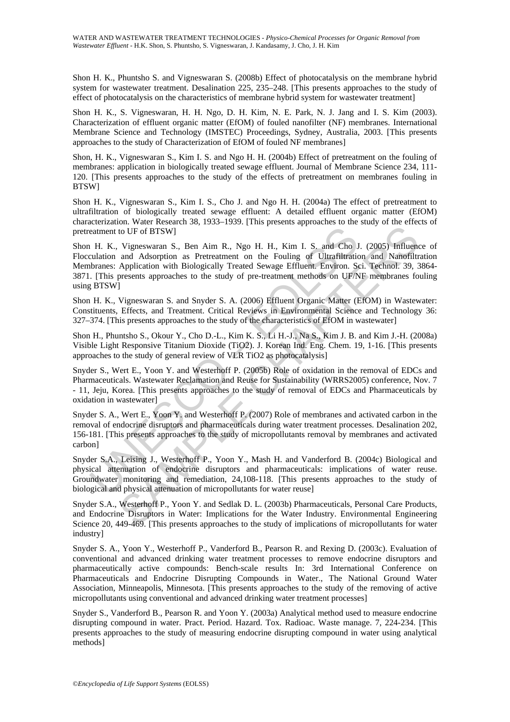Shon H. K., Phuntsho S. and Vigneswaran S. (2008b) Effect of photocatalysis on the membrane hybrid system for wastewater treatment. Desalination 225, 235–248. [This presents approaches to the study of effect of photocatalysis on the characteristics of membrane hybrid system for wastewater treatment]

Shon H. K., S. Vigneswaran, H. H. Ngo, D. H. Kim, N. E. Park, N. J. Jang and I. S. Kim (2003). Characterization of effluent organic matter (EfOM) of fouled nanofilter (NF) membranes. International Membrane Science and Technology (IMSTEC) Proceedings, Sydney, Australia, 2003. [This presents approaches to the study of Characterization of EfOM of fouled NF membranes]

Shon, H. K., Vigneswaran S., Kim I. S. and Ngo H. H. (2004b) Effect of pretreatment on the fouling of membranes: application in biologically treated sewage effluent. Journal of Membrane Science 234, 111- 120. [This presents approaches to the study of the effects of pretreatment on membranes fouling in **BTSW1** 

Shon H. K., Vigneswaran S., Kim I. S., Cho J. and Ngo H. H. (2004a) The effect of pretreatment to ultrafiltration of biologically treated sewage effluent: A detailed effluent organic matter (EfOM) characterization. Water Research 38, 1933–1939. [This presents approaches to the study of the effects of pretreatment to UF of BTSW]

eatment to UF of BTSW]<br>
1 H. K., Vigneswaran S., Ben Aim R., Ngo H. H., Kim I. S. and Cho Intelluction<br>
and Adsorption as Pretreatment on the Fouling of Ultrafilmation:<br>
1 Choranes: Application with Biologically Treated Se To UF of BTSW]<br>
Vigneswaran S., Ben Aim R., Ngo H. H., Kim I. S. and Cho J. (2005) Influent<br>
and Adsoption as Petreatment on the Fouling of Ultrafiltation and Namfolltation<br>
Application with Biologically Treated Sewage Eff Shon H. K., Vigneswaran S., Ben Aim R., Ngo H. H., Kim I. S. and Cho J. (2005) Influence of Flocculation and Adsorption as Pretreatment on the Fouling of Ultrafiltration and Nanofiltration Membranes: Application with Biologically Treated Sewage Effluent. Environ. Sci. Technol. 39, 3864- 3871. [This presents approaches to the study of pre-treatment methods on UF/NF membranes fouling using BTSW]

Shon H. K., Vigneswaran S. and Snyder S. A. (2006) Effluent Organic Matter (EfOM) in Wastewater: Constituents, Effects, and Treatment. Critical Reviews in Environmental Science and Technology 36: 327–374. [This presents approaches to the study of the characteristics of EfOM in wastewater]

Shon H., Phuntsho S., Okour Y., Cho D.-L., Kim K. S., Li H.-J., Na S., Kim J. B. and Kim J.-H. (2008a) Visible Light Responsive Titanium Dioxide (TiO2). J. Korean Ind. Eng. Chem. 19, 1-16. [This presents approaches to the study of general review of VLR TiO2 as photocatalysis]

Snyder S., Wert E., Yoon Y. and Westerhoff P. (2005b) Role of oxidation in the removal of EDCs and Pharmaceuticals. Wastewater Reclamation and Reuse for Sustainability (WRRS2005) conference, Nov. 7 - 11, Jeju, Korea. [This presents approaches to the study of removal of EDCs and Pharmaceuticals by oxidation in wastewater]

Snyder S. A., Wert E., Yoon Y. and Westerhoff P. (2007) Role of membranes and activated carbon in the removal of endocrine disruptors and pharmaceuticals during water treatment processes. Desalination 202, 156-181. [This presents approaches to the study of micropollutants removal by membranes and activated carbon]

Snyder S.A., Leising J., Westerhoff P., Yoon Y., Mash H. and Vanderford B. (2004c) Biological and physical attenuation of endocrine disruptors and pharmaceuticals: implications of water reuse. Groundwater monitoring and remediation, 24,108-118. [This presents approaches to the study of biological and physical attenuation of micropollutants for water reuse]

Snyder S.A., Westerhoff P., Yoon Y. and Sedlak D. L. (2003b) Pharmaceuticals, Personal Care Products, and Endocrine Disruptors in Water: Implications for the Water Industry. Environmental Engineering Science 20, 449-469. [This presents approaches to the study of implications of micropollutants for water industry]

Snyder S. A., Yoon Y., Westerhoff P., Vanderford B., Pearson R. and Rexing D. (2003c). Evaluation of conventional and advanced drinking water treatment processes to remove endocrine disruptors and pharmaceutically active compounds: Bench-scale results In: 3rd International Conference on Pharmaceuticals and Endocrine Disrupting Compounds in Water., The National Ground Water Association, Minneapolis, Minnesota. [This presents approaches to the study of the removing of active micropollutants using conventional and advanced drinking water treatment processes]

Snyder S., Vanderford B., Pearson R. and Yoon Y. (2003a) Analytical method used to measure endocrine disrupting compound in water. Pract. Period. Hazard. Tox. Radioac. Waste manage. 7, 224-234. [This presents approaches to the study of measuring endocrine disrupting compound in water using analytical methods]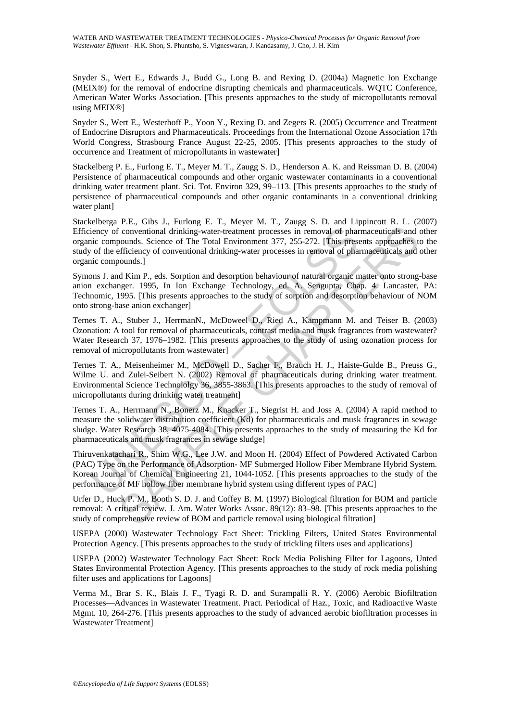Snyder S., Wert E., Edwards J., Budd G., Long B. and Rexing D. (2004a) Magnetic Ion Exchange (MEIX®) for the removal of endocrine disrupting chemicals and pharmaceuticals. WQTC Conference, American Water Works Association. [This presents approaches to the study of micropollutants removal using MEIX®]

Snyder S., Wert E., Westerhoff P., Yoon Y., Rexing D. and Zegers R. (2005) Occurrence and Treatment of Endocrine Disruptors and Pharmaceuticals. Proceedings from the International Ozone Association 17th World Congress, Strasbourg France August 22-25, 2005. [This presents approaches to the study of occurrence and Treatment of micropollutants in wastewater]

Stackelberg P. E., Furlong E. T., Meyer M. T., Zaugg S. D., Henderson A. K. and Reissman D. B. (2004) Persistence of pharmaceutical compounds and other organic wastewater contaminants in a conventional drinking water treatment plant. Sci. Tot. Environ 329, 99–113. [This presents approaches to the study of persistence of pharmaceutical compounds and other organic contaminants in a conventional drinking water plant]

iency of conventional drinking-water-treatment processes in removal of phanic compounds. Science of The Total Environment 377, 255-272. [This press<br>of of the efficiency of conventional drinking-water processes in removal o Conventional drinking-water-treatment processes in removal of pharmaceuticals and<br>conventional drinking-water-treatment processes in removal of pharmaceuticals and<br>orounds. Science of The Total Environment 377, 255-272. [T Stackelberga P.E., Gibs J., Furlong E. T., Meyer M. T., Zaugg S. D. and Lippincott R. L. (2007) Efficiency of conventional drinking-water-treatment processes in removal of pharmaceuticals and other organic compounds. Science of The Total Environment 377, 255-272. [This presents approaches to the study of the efficiency of conventional drinking-water processes in removal of pharmaceuticals and other organic compounds.]

Symons J. and Kim P., eds. Sorption and desorption behaviour of natural organic matter onto strong-base anion exchanger. 1995, In Ion Exchange Technology, ed. A. Sengupta, Chap. 4. Lancaster, PA: Technomic, 1995. [This presents approaches to the study of sorption and desorption behaviour of NOM onto strong-base anion exchanger]

Ternes T. A., Stuber J., HerrmanN., McDoweel D., Ried A., Kampmann M. and Teiser B. (2003) Ozonation: A tool for removal of pharmaceuticals, contrast media and musk fragrances from wastewater? Water Research 37, 1976–1982. [This presents approaches to the study of using ozonation process for removal of micropollutants from wastewater]

Ternes T. A., Meisenheimer M., McDowell D., Sacher F., Brauch H. J., Haiste-Gulde B., Preuss G., Wilme U. and Zulei-Seibert N. (2002) Removal of pharmaceuticals during drinking water treatment. Environmental Science Technololgy 36, 3855-3863. [This presents approaches to the study of removal of micropollutants during drinking water treatment]

Ternes T. A., Herrmann N., Bonerz M., Knacker T., Siegrist H. and Joss A. (2004) A rapid method to measure the solidwater distribution coefficient (Kd) for pharmaceuticals and musk fragrances in sewage sludge. Water Research 38, 4075-4084. [This presents approaches to the study of measuring the Kd for pharmaceuticals and musk fragrances in sewage sludge]

Thiruvenkatachari R., Shim W.G., Lee J.W. and Moon H. (2004) Effect of Powdered Activated Carbon (PAC) Type on the Performance of Adsorption- MF Submerged Hollow Fiber Membrane Hybrid System. Korean Journal of Chemical Engineering 21, 1044-1052. [This presents approaches to the study of the performance of MF hollow fiber membrane hybrid system using different types of PAC]

Urfer D., Huck P. M., Booth S. D. J. and Coffey B. M. (1997) Biological filtration for BOM and particle removal: A critical review. J. Am. Water Works Assoc. 89(12): 83–98. [This presents approaches to the study of comprehensive review of BOM and particle removal using biological filtration]

USEPA (2000) Wastewater Technology Fact Sheet: Trickling Filters, United States Environmental Protection Agency. [This presents approaches to the study of trickling filters uses and applications]

USEPA (2002) Wastewater Technology Fact Sheet: Rock Media Polishing Filter for Lagoons, Unted States Environmental Protection Agency. [This presents approaches to the study of rock media polishing filter uses and applications for Lagoons]

Verma M., Brar S. K., Blais J. F., Tyagi R. D. and Surampalli R. Y. (2006) Aerobic Biofiltration Processes—Advances in Wastewater Treatment. Pract. Periodical of Haz., Toxic, and Radioactive Waste Mgmt. 10, 264-276. [This presents approaches to the study of advanced aerobic biofiltration processes in Wastewater Treatment]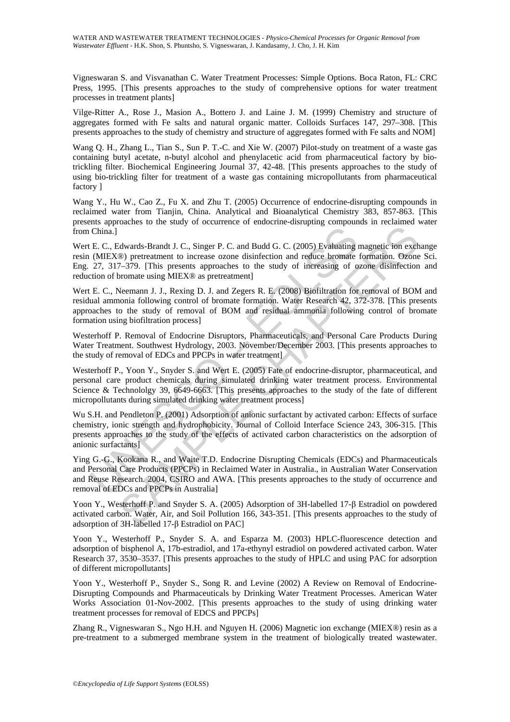Vigneswaran S. and Visvanathan C. Water Treatment Processes: Simple Options. Boca Raton, FL: CRC Press, 1995. [This presents approaches to the study of comprehensive options for water treatment processes in treatment plants]

Vilge-Ritter A., Rose J., Masion A., Bottero J. and Laine J. M. (1999) Chemistry and structure of aggregates formed with Fe salts and natural organic matter. Colloids Surfaces 147, 297–308. [This presents approaches to the study of chemistry and structure of aggregates formed with Fe salts and NOM]

Wang Q. H., Zhang L., Tian S., Sun P. T.-C. and Xie W. (2007) Pilot-study on treatment of a waste gas containing butyl acetate, n-butyl alcohol and phenylacetic acid from pharmaceutical factory by biotrickling filter. Biochemical Engineering Journal 37, 42-48. [This presents approaches to the study of using bio-trickling filter for treatment of a waste gas containing micropollutants from pharmaceutical factory ]

Wang Y., Hu W., Cao Z., Fu X. and Zhu T. (2005) Occurrence of endocrine-disrupting compounds in reclaimed water from Tianjin, China. Analytical and Bioanalytical Chemistry 383, 857-863. [This presents approaches to the study of occurrence of endocrine-disrupting compounds in reclaimed water from China.]

Wert E. C., Edwards-Brandt J. C., Singer P. C. and Budd G. C. (2005) Evaluating magnetic ion exchange resin (MIEX®) pretreatment to increase ozone disinfection and reduce bromate formation. Ozone Sci. Eng. 27, 317–379. [This presents approaches to the study of increasing of ozone disinfection and reduction of bromate using MIEX® as pretreatment]

China.]<br>
E. C., Edwards-Brandt J. C., Singer P. C. and Budd G. C. (2005) Evaluating<br>
(MIEX®) pretentment to increase ozone disinfection and reduce bromate<br>
27, 317–379. [This presents approaches to the study of increasing Transmission of EDCs and PPCPs in Machima and reduce both that the streament of the streament of increasing the streament of increasing of some distincted bom and reduce bormate formation. Ozone and Fig. (2008) Biofilitati Wert E. C., Neemann J. J., Rexing D. J. and Zegers R. E. (2008) Biofiltration for removal of BOM and residual ammonia following control of bromate formation. Water Research 42, 372-378. [This presents approaches to the study of removal of BOM and residual ammonia following control of bromate formation using biofiltration process]

Westerhoff P. Removal of Endocrine Disruptors, Pharmaceuticals, and Personal Care Products During Water Treatment. Southwest Hydrology, 2003. November/December 2003. [This presents approaches to the study of removal of EDCs and PPCPs in water treatment]

Westerhoff P., Yoon Y., Snyder S. and Wert E. (2005) Fate of endocrine-disruptor, pharmaceutical, and personal care product chemicals during simulated drinking water treatment process. Environmental Science & Technololgy 39, 6649-6663. [This presents approaches to the study of the fate of different micropollutants during simulated drinking water treatment process]

Wu S.H. and Pendleton P. (2001) Adsorption of anionic surfactant by activated carbon: Effects of surface chemistry, ionic strength and hydrophobicity. Journal of Colloid Interface Science 243, 306-315. [This presents approaches to the study of the effects of activated carbon characteristics on the adsorption of anionic surfactants]

Ying G.-G., Kookana R., and Waite T.D. Endocrine Disrupting Chemicals (EDCs) and Pharmaceuticals and Personal Care Products (PPCPs) in Reclaimed Water in Australia., in Australian Water Conservation and Reuse Research. 2004, CSIRO and AWA. [This presents approaches to the study of occurrence and removal of EDCs and PPCPs in Australia]

Yoon Y., Westerhoff P. and Snyder S. A. (2005) Adsorption of 3H-labelled 17-β Estradiol on powdered activated carbon. Water, Air, and Soil Pollution 166, 343-351. [This presents approaches to the study of adsorption of 3H-labelled 17-β Estradiol on PAC]

Yoon Y., Westerhoff P., Snyder S. A. and Esparza M. (2003) HPLC-fluorescence detection and adsorption of bisphenol A, 17b-estradiol, and 17a-ethynyl estradiol on powdered activated carbon. Water Research 37, 3530–3537. [This presents approaches to the study of HPLC and using PAC for adsorption of different micropollutants]

Yoon Y., Westerhoff P., Snyder S., Song R. and Levine (2002) A Review on Removal of Endocrine-Disrupting Compounds and Pharmaceuticals by Drinking Water Treatment Processes. American Water Works Association 01-Nov-2002. [This presents approaches to the study of using drinking water treatment processes for removal of EDCS and PPCPs]

Zhang R., Vigneswaran S., Ngo H.H. and Nguyen H. (2006) Magnetic ion exchange (MIEX®) resin as a pre-treatment to a submerged membrane system in the treatment of biologically treated wastewater.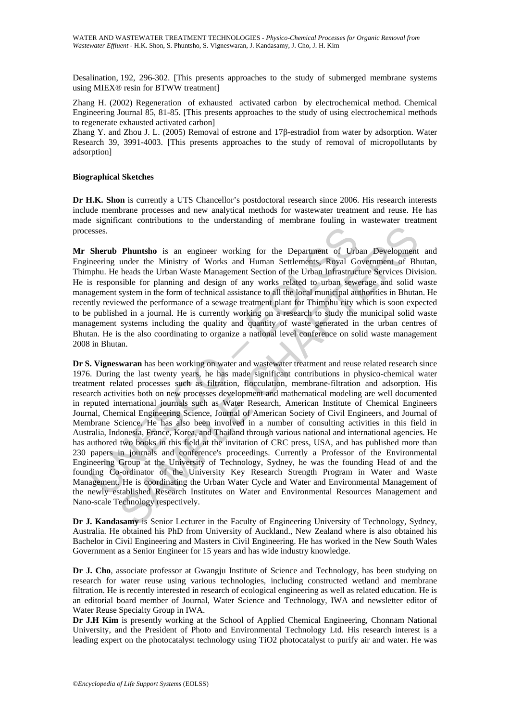Desalination, 192, 296-302. [This presents approaches to the study of submerged membrane systems using MIEX® resin for BTWW treatment]

Zhang H. (2002) Regeneration of exhausted activated carbon by electrochemical method. Chemical Engineering Journal 85, 81-85. [This presents approaches to the study of using electrochemical methods to regenerate exhausted activated carbon]

Zhang Y. and Zhou J. L. (2005) Removal of estrone and 17β-estradiol from water by adsorption. Water Research 39, 3991-4003. [This presents approaches to the study of removal of micropollutants by adsorption]

#### **Biographical Sketches**

**Dr H.K. Shon** is currently a UTS Chancellor's postdoctoral research since 2006. His research interests include membrane processes and new analytical methods for wastewater treatment and reuse. He has made significant contributions to the understanding of membrane fouling in wastewater treatment processes.

**Mr Sherub Phuntsho** is an engineer working for the Department of Urban Development and Engineering under the Ministry of Works and Human Settlements, Royal Government of Bhutan, Thimphu. He heads the Urban Waste Management Section of the Urban Infrastructure Services Division. He is responsible for planning and design of any works related to urban sewerage and solid waste management system in the form of technical assistance to all the local municipal authorities in Bhutan. He recently reviewed the performance of a sewage treatment plant for Thimphu city which is soon expected to be published in a journal. He is currently working on a research to study the municipal solid waste management systems including the quality and quantity of waste generated in the urban centres of Bhutan. He is the also coordinating to organize a national level conference on solid waste management 2008 in Bhutan.

ssess.<br>
Sherub Phuntsho is an engineer working for the Department of Urb<br>
neering under the Ministry of Works and Human Settlements, Royal Ge<br>
phu. He heads the Urban Waste Management Section of the Urban Infrastruct<br>
s re **Phuntsho** is an engineer working for the Department of Urban Development<br>under the Ministry of Works and Human Settlements. Royal Government of Bh<br>heads the Urban Waste Management Section of the Urban Infrastructure Serv **Dr S. Vigneswaran** has been working on water and wastewater treatment and reuse related research since 1976. During the last twenty years, he has made significant contributions in physico-chemical water treatment related processes such as filtration, flocculation, membrane-filtration and adsorption. His research activities both on new processes development and mathematical modeling are well documented in reputed international journals such as Water Research, American Institute of Chemical Engineers Journal, Chemical Engineering Science, Journal of American Society of Civil Engineers, and Journal of Membrane Science. He has also been involved in a number of consulting activities in this field in Australia, Indonesia, France, Korea, and Thailand through various national and international agencies. He has authored two books in this field at the invitation of CRC press, USA, and has published more than 230 papers in journals and conference's proceedings. Currently a Professor of the Environmental Engineering Group at the University of Technology, Sydney, he was the founding Head of and the founding Co-ordinator of the University Key Research Strength Program in Water and Waste Management. He is coordinating the Urban Water Cycle and Water and Environmental Management of the newly established Research Institutes on Water and Environmental Resources Management and Nano-scale Technology respectively.

**Dr J. Kandasamy** is Senior Lecturer in the Faculty of Engineering University of Technology, Sydney, Australia. He obtained his PhD from University of Auckland., New Zealand where is also obtained his Bachelor in Civil Engineering and Masters in Civil Engineering. He has worked in the New South Wales Government as a Senior Engineer for 15 years and has wide industry knowledge.

**Dr J. Cho**, associate professor at Gwangju Institute of Science and Technology, has been studying on research for water reuse using various technologies, including constructed wetland and membrane filtration. He is recently interested in research of ecological engineering as well as related education. He is an editorial board member of Journal, Water Science and Technology, IWA and newsletter editor of Water Reuse Specialty Group in IWA.

Dr J.H Kim is presently working at the School of Applied Chemical Engineering, Chonnam National University, and the President of Photo and Environmental Technology Ltd. His research interest is a leading expert on the photocatalyst technology using TiO2 photocatalyst to purify air and water. He was